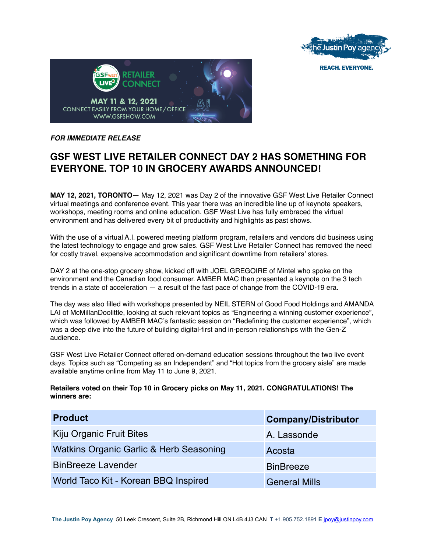

**REACH. EVERYONE.** 



## *FOR IMMEDIATE RELEASE*

# **GSF WEST LIVE RETAILER CONNECT DAY 2 HAS SOMETHING FOR EVERYONE. TOP 10 IN GROCERY AWARDS ANNOUNCED!**

**MAY 12, 2021, TORONTO—** May 12, 2021 was Day 2 of the innovative GSF West Live Retailer Connect virtual meetings and conference event. This year there was an incredible line up of keynote speakers, workshops, meeting rooms and online education. GSF West Live has fully embraced the virtual environment and has delivered every bit of productivity and highlights as past shows.

With the use of a virtual A.I. powered meeting platform program, retailers and vendors did business using the latest technology to engage and grow sales. GSF West Live Retailer Connect has removed the need for costly travel, expensive accommodation and significant downtime from retailers' stores.

DAY 2 at the one-stop grocery show, kicked off with JOEL GREGOIRE of Mintel who spoke on the environment and the Canadian food consumer. AMBER MAC then presented a keynote on the 3 tech trends in a state of acceleration — a result of the fast pace of change from the COVID-19 era.

The day was also filled with workshops presented by NEIL STERN of Good Food Holdings and AMANDA LAI of McMillanDoolittle, looking at such relevant topics as "Engineering a winning customer experience", which was followed by AMBER MAC's fantastic session on "Redefining the customer experience", which was a deep dive into the future of building digital-first and in-person relationships with the Gen-Z audience.

GSF West Live Retailer Connect offered on-demand education sessions throughout the two live event days. Topics such as "Competing as an Independent" and "Hot topics from the grocery aisle" are made available anytime online from May 11 to June 9, 2021.

### **Retailers voted on their Top 10 in Grocery picks on May 11, 2021. CONGRATULATIONS! The winners are:**

| <b>Product</b>                          | <b>Company/Distributor</b> |
|-----------------------------------------|----------------------------|
| Kiju Organic Fruit Bites                | A. Lassonde                |
| Watkins Organic Garlic & Herb Seasoning | Acosta                     |
| <b>BinBreeze Lavender</b>               | <b>BinBreeze</b>           |
| World Taco Kit - Korean BBQ Inspired    | <b>General Mills</b>       |